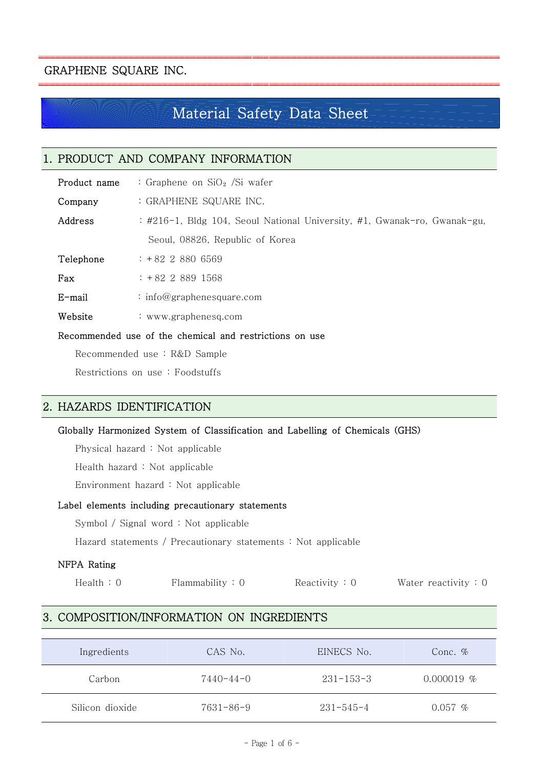# GRAPHENE SQUARE INC.

# Material Safety Data Sheet

| . PRODUCT AND COMPANY INFORMATION                       |                                                                          |  |  |  |
|---------------------------------------------------------|--------------------------------------------------------------------------|--|--|--|
| Product name                                            | : Graphene on $SiO2$ /Si wafer                                           |  |  |  |
| Company                                                 | : GRAPHENE SQUARE INC.                                                   |  |  |  |
| Address                                                 | : #216-1, Bldg 104, Seoul National University, #1, Gwanak-ro, Gwanak-gu, |  |  |  |
|                                                         | Seoul, 08826, Republic of Korea                                          |  |  |  |
| Telephone                                               | $: +8228806569$                                                          |  |  |  |
| Fax                                                     | $: +8228891568$                                                          |  |  |  |
| $E$ -mail                                               | : info@graphenesquare.com                                                |  |  |  |
| Website                                                 | : www.graphenesq.com                                                     |  |  |  |
| Recommended use of the chemical and restrictions on use |                                                                          |  |  |  |
| n 11 inno                                               |                                                                          |  |  |  |

Recommended use : R&D Sample

Restrictions on use : Foodstuffs

# 2. HAZARDS IDENTIFICATION

#### Globally Harmonized System of Classification and Labelling of Chemicals (GHS)

Physical hazard : Not applicable

Health hazard : Not applicable

Environment hazard : Not applicable

#### Label elements including precautionary statements

Symbol / Signal word : Not applicable

Hazard statements / Precautionary statements : Not applicable

#### NFPA Rating

|  | Health: 0 | Flammability: 0 | Reactivity: 0 | Water reactivity $: 0$ |
|--|-----------|-----------------|---------------|------------------------|
|--|-----------|-----------------|---------------|------------------------|

# 3. COMPOSITION/INFORMATION ON INGREDIENTS

| Ingredients     | CAS No.         | EINECS No.      | Conc. $%$    |
|-----------------|-----------------|-----------------|--------------|
| Carbon          | $7440 - 44 - 0$ | $231 - 153 - 3$ | $0.000019$ % |
| Silicon dioxide | $7631 - 86 - 9$ | $231 - 545 - 4$ | $0.057~\%$   |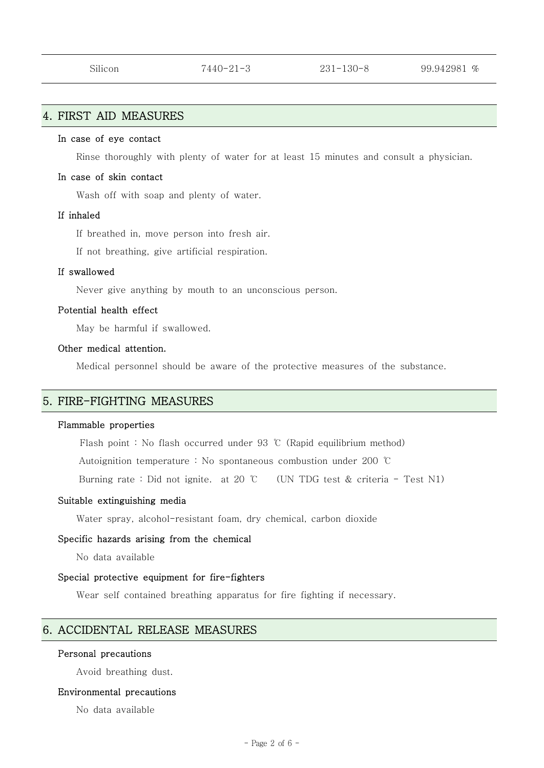# 4. FIRST AID MEASURES

#### In case of eye contact

Rinse thoroughly with plenty of water for at least 15 minutes and consult a physician.

#### In case of skin contact

Wash off with soap and plenty of water.

#### If inhaled

If breathed in, move person into fresh air. If not breathing, give artificial respiration.

#### If swallowed

Never give anything by mouth to an unconscious person.

#### Potential health effect

May be harmful if swallowed.

Other medical attention.<br>Medical personnel should be aware of the protective measures of the substance.

#### 5. FIRE-FIGHTING MEASURES

#### Flammable properties

Flash point : No flash occurred under 93 ℃ (Rapid equilibrium method)

Autoignition temperature : No spontaneous combustion under 200 ℃

Burning rate : Did not ignite. at 20 ℃ (UN TDG test & criteria - Test N1)

#### Suitable extinguishing media

Water spray, alcohol-resistant foam, dry chemical, carbon dioxide

# Specific hazards arising from the chemical No data available

#### Special protective equipment for fire-fighters

Wear self contained breathing apparatus for fire fighting if necessary.

#### 6. ACCIDENTAL RELEASE MEASURES

#### Personal precautions

Avoid breathing dust.

#### Environmental precautions

No data available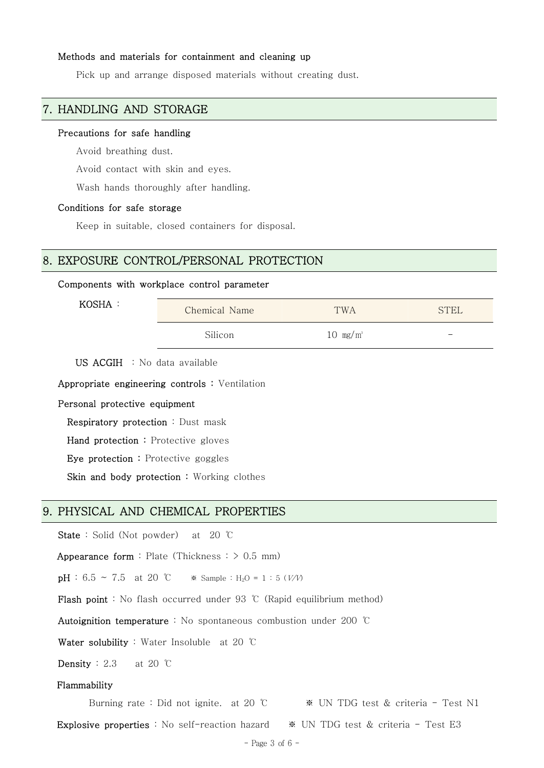#### Methods and materials for containment and cleaning up

Pick up and arrange disposed materials without creating dust.

### 7. HANDLING AND STORAGE

#### Precautions for safe handling

Avoid breathing dust. Avoid contact with skin and eyes. Wash hands thoroughly after handling.

#### Conditions for safe storage

Keep in suitable, closed containers for disposal.

#### 8. EXPOSURE CONTROL/PERSONAL PROTECTION

#### Components with workplace control parameter

KOSHA :

| Chemical Name | TWA                 | <b>STEL</b> |
|---------------|---------------------|-------------|
| Silicon       | $10 \text{ mg/m}^3$ |             |

US ACGIH : No data available

Appropriate engineering controls : Ventilation

Personal protective equipment

Respiratory protection : Dust mask

Hand protection : Protective gloves

Eye protection : Protective goggles

Skin and body protection : Working clothes

#### 9. PHYSICAL AND CHEMICAL PROPERTIES

State : Solid (Not powder) at 20 ℃

Appearance form : Plate (Thickness  $:$   $>$  0.5 mm)

 $pH : 6.5 \sim 7.5$  at 20 °C  $\bullet$  Sample : H<sub>2</sub>O = 1 : 5 (V/V)

Flash point : No flash occurred under 93 ℃ (Rapid equilibrium method)

Autoignition temperature : No spontaneous combustion under 200 ℃

Water solubility : Water Insoluble at 20 ℃

**Density** : 2.3 at 20  $\degree$ C

#### Flammability

Burning rate : Did not ignite. at 20 ℃ ※ UN TDG test & criteria - Test N1

Explosive properties : No self-reaction hazard ※ UN TDG test & criteria - Test E3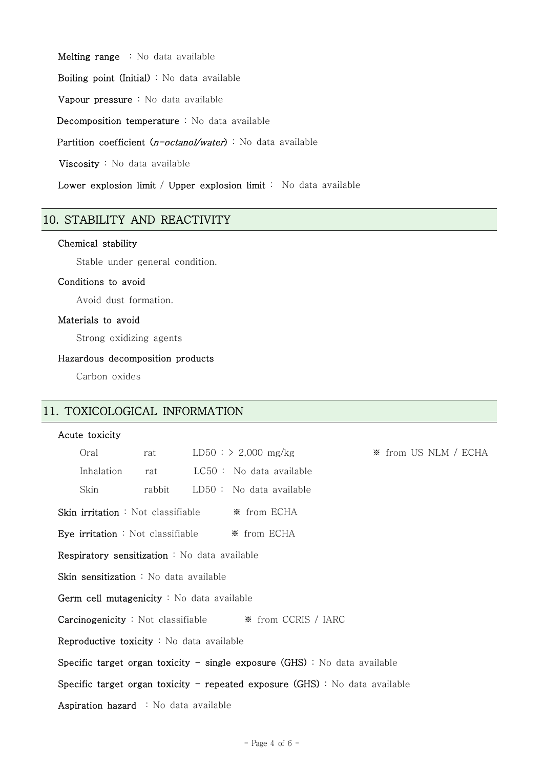Melting range : No data available

Boiling point (Initial) : No data available

Vapour pressure : No data available

Decomposition temperature : No data available

Partition coefficient (n-octanol/water) : No data available

Viscosity : No data available

Lower explosion limit / Upper explosion limit : No data available

# 10. STABILITY AND REACTIVITY

#### Chemical stability

Stable under general condition.

#### Conditions to avoid

Avoid dust formation.

#### Materials to avoid

Strong oxidizing agents

#### Hazardous decomposition products

Carbon oxides

## 11. TOXICOLOGICAL INFORMATION

#### Acute toxicity

|                                                                                | Oral                                          | rat    |  | $LD50$ : > 2,000 mg/kg    |  | ☀ from US NLM / ECHA |  |
|--------------------------------------------------------------------------------|-----------------------------------------------|--------|--|---------------------------|--|----------------------|--|
|                                                                                | Inhalation                                    | rat    |  | $LC50:$ No data available |  |                      |  |
|                                                                                | Skin                                          | rabbit |  | $LD50:$ No data available |  |                      |  |
| <b>Skin irritation</b> : Not classifiable $\frac{1}{2}$ from ECHA              |                                               |        |  |                           |  |                      |  |
| <b>Eye irritation</b> : Not classifiable $\frac{1}{2}$ from ECHA               |                                               |        |  |                           |  |                      |  |
|                                                                                | Respiratory sensitization : No data available |        |  |                           |  |                      |  |
| Skin sensitization : No data available                                         |                                               |        |  |                           |  |                      |  |
| Germ cell mutagenicity : No data available                                     |                                               |        |  |                           |  |                      |  |
| <b>Carcinogenicity</b> : Not classifiable $\frac{1}{2}$ from CCRIS / IARC      |                                               |        |  |                           |  |                      |  |
| Reproductive toxicity : No data available                                      |                                               |        |  |                           |  |                      |  |
| Specific target organ toxicity - single exposure $(GHS)$ : No data available   |                                               |        |  |                           |  |                      |  |
| Specific target organ toxicity – repeated exposure $(GHS)$ : No data available |                                               |        |  |                           |  |                      |  |
| Aspiration hazard : No data available                                          |                                               |        |  |                           |  |                      |  |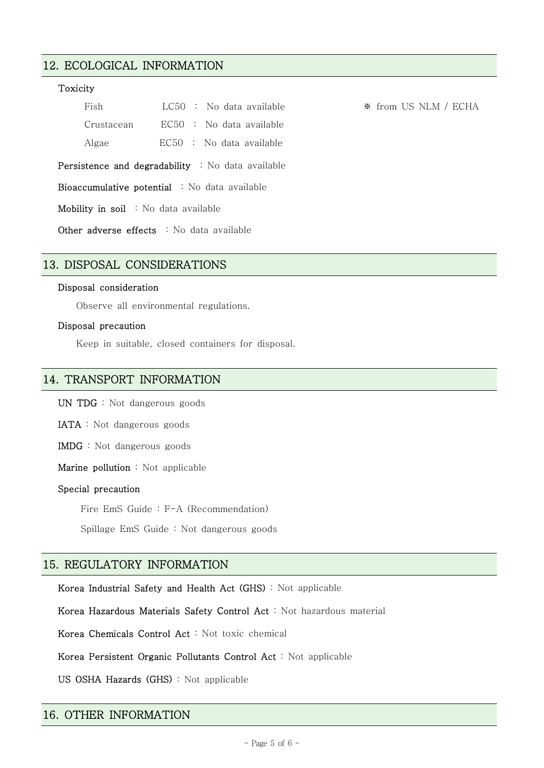# 12. ECOLOGICAL INFORMATION

#### Toxicity

| Fish                                                     | $LC50$ : No data available |  |  |  |
|----------------------------------------------------------|----------------------------|--|--|--|
| Crustacean                                               | $EC50$ : No data available |  |  |  |
| Algae                                                    | $EC50$ : No data available |  |  |  |
| <b>Persistence and degradability</b> : No data available |                            |  |  |  |
| <b>Bioaccumulative potential</b> : No data available     |                            |  |  |  |

Mobility in soil : No data available

Other adverse effects : No data available

#### 13. DISPOSAL CONSIDERATIONS

#### Disposal consideration

Observe all environmental regulations.

#### Disposal precaution

Keep in suitable, closed containers for disposal.

#### 14. TRANSPORT INFORMATION

UN TDG : Not dangerous goods

IATA : Not dangerous goods

IMDG : Not dangerous goods

Marine pollution : Not applicable

#### Special precaution

Fire EmS Guide : F-A (Recommendation)

Spillage EmS Guide : Not dangerous goods

#### 15. REGULATORY INFORMATION

Korea Industrial Safety and Health Act (GHS) : Not applicable

Korea Hazardous Materials Safety Control Act : Not hazardous material

Korea Chemicals Control Act : Not toxic chemical

Korea Persistent Organic Pollutants Control Act : Not applicable

US OSHA Hazards (GHS) : Not applicable

#### 16. OTHER INFORMATION

**\*** from US NLM / ECHA